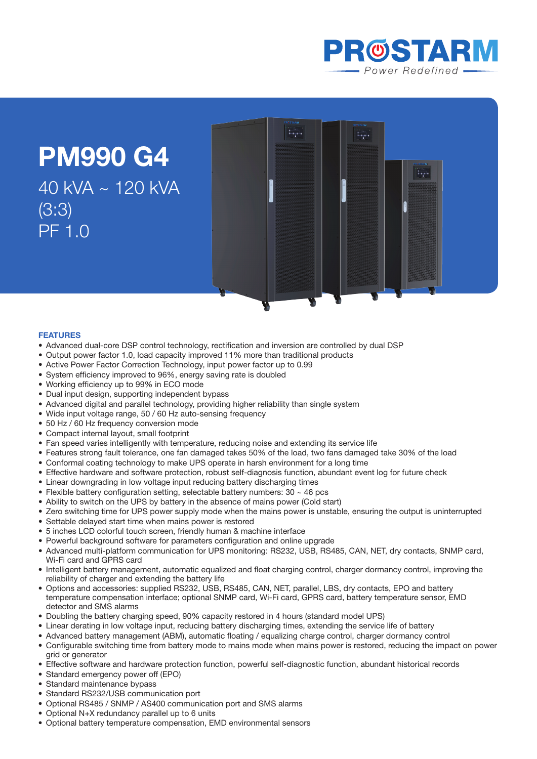

 $\overline{\phantom{a}}$ 

 $\frac{1}{\sqrt{2}}$ 

**PM990 G4**  40 kVA ~ 120 kVA (3:3) PF 1.0

## **Features**

- Advanced dual-core DSP control technology, rectification and inversion are controlled by dual DSP
- • Output power factor 1.0, load capacity improved 11% more than traditional products
- Active Power Factor Correction Technology, input power factor up to 0.99
- System efficiency improved to 96%, energy saving rate is doubled
- Working efficiency up to 99% in ECO mode
- Dual input design, supporting independent bypass
- Advanced digital and parallel technology, providing higher reliability than single system
- Wide input voltage range, 50 / 60 Hz auto-sensing frequency
- 50 Hz / 60 Hz frequency conversion mode
- Compact internal layout, small footprint
- Fan speed varies intelligently with temperature, reducing noise and extending its service life
- Features strong fault tolerance, one fan damaged takes 50% of the load, two fans damaged take 30% of the load
- Conformal coating technology to make UPS operate in harsh environment for a long time
- Effective hardware and software protection, robust self-diagnosis function, abundant event log for future check
- Linear downgrading in low voltage input reducing battery discharging times
- Flexible battery configuration setting, selectable battery numbers:  $30 \sim 46$  pcs
- Ability to switch on the UPS by battery in the absence of mains power (Cold start)
- Zero switching time for UPS power supply mode when the mains power is unstable, ensuring the output is uninterrupted

- Settable delayed start time when mains power is restored
- 5 inches LCD colorful touch screen, friendly human & machine interface
- Powerful background software for parameters configuration and online upgrade
- • Advanced multi-platform communication for UPS monitoring: RS232, USB, RS485, CAN, NET, dry contacts, SNMP card, Wi-Fi card and GPRS card
- Intelligent battery management, automatic equalized and float charging control, charger dormancy control, improving the reliability of charger and extending the battery life
- • Options and accessories: supplied RS232, USB, RS485, CAN, NET, parallel, LBS, dry contacts, EPO and battery temperature compensation interface; optional SNMP card, Wi-Fi card, GPRS card, battery temperature sensor, EMD detector and SMS alarms
- • Doubling the battery charging speed, 90% capacity restored in 4 hours (standard model UPS)
- • Linear derating in low voltage input, reducing battery discharging times, extending the service life of battery
- Advanced battery management (ABM), automatic floating / equalizing charge control, charger dormancy control
- • Configurable switching time from battery mode to mains mode when mains power is restored, reducing the impact on power grid or generator
- • Effective software and hardware protection function, powerful self-diagnostic function, abundant historical records
- Standard emergency power off (EPO)
- Standard maintenance bypass
- Standard RS232/USB communication port
- Optional RS485 / SNMP / AS400 communication port and SMS alarms
- Optional N+X redundancy parallel up to 6 units
- • Optional battery temperature compensation, EMD environmental sensors